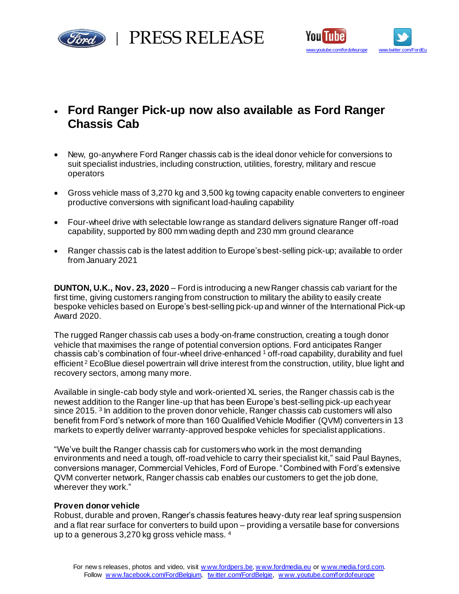



# • **Ford Ranger Pick-up now also available as Ford Ranger Chassis Cab**

- New, go-anywhere Ford Ranger chassis cab is the ideal donor vehicle for conversions to suit specialist industries, including construction, utilities, forestry, military and rescue operators
- Gross vehicle mass of 3,270 kg and 3,500 kg towing capacity enable converters to engineer productive conversions with significant load-hauling capability
- Four-wheel drive with selectable low range as standard delivers signature Ranger off-road capability, supported by 800 mm wading depth and 230 mm ground clearance
- Ranger chassis cab is the latest addition to Europe's best-selling pick-up; available to order from January 2021

**DUNTON, U.K., Nov. 23, 2020** – Ford is introducing a new Ranger chassis cab variant for the first time, giving customers ranging from construction to military the ability to easily create bespoke vehicles based on Europe's best-selling pick-up and winner of the International Pick-up Award 2020.

The rugged Ranger chassis cab uses a body-on-frame construction, creating a tough donor vehicle that maximises the range of potential conversion options. Ford anticipates Ranger chassis cab's combination of four-wheel drive-enhanced <sup>1</sup> off-road capability, durability and fuel efficient<sup>2</sup> EcoBlue diesel powertrain will drive interest from the construction, utility, blue light and recovery sectors, among many more.

Available in single-cab body style and work-oriented XL series, the Ranger chassis cab is the newest addition to the Ranger line-up that has been Europe's best-selling pick-up each year since 2015. <sup>3</sup> In addition to the proven donor vehicle, Ranger chassis cab customers will also benefit from Ford's network of more than 160 Qualified Vehicle Modifier (QVM) converters in 13 markets to expertly deliver warranty-approved bespoke vehicles for specialist applications.

"We've built the Ranger chassis cab for customers who work in the most demanding environments and need a tough, off-road vehicle to carry their specialist kit," said Paul Baynes, conversions manager, Commercial Vehicles, Ford of Europe. "Combined with Ford's extensive QVM converter network, Ranger chassis cab enables our customers to get the job done, wherever they work."

## **Proven donor vehicle**

Robust, durable and proven, Ranger's chassis features heavy-duty rear leaf spring suspension and a flat rear surface for converters to build upon – providing a versatile base for conversions up to a generous 3,270 kg gross vehicle mass. <sup>4</sup>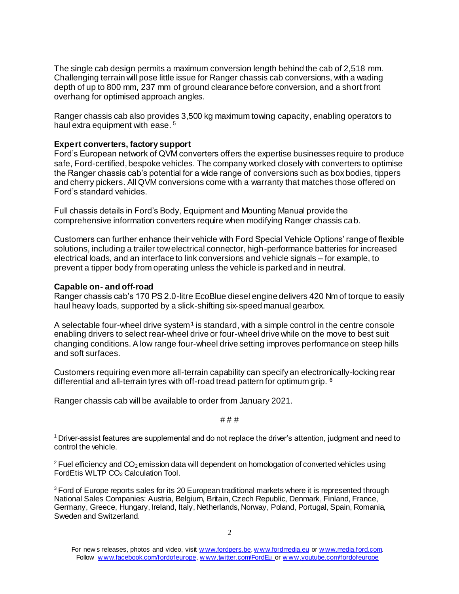The single cab design permits a maximum conversion length behind the cab of 2,518 mm. Challenging terrain will pose little issue for Ranger chassis cab conversions, with a wading depth of up to 800 mm, 237 mm of ground clearance before conversion, and a short front overhang for optimised approach angles.

Ranger chassis cab also provides 3,500 kg maximum towing capacity, enabling operators to haul extra equipment with ease.<sup>5</sup>

## **Expert converters, factory support**

Ford's European network of QVM converters offers the expertise businesses require to produce safe, Ford-certified, bespoke vehicles. The company worked closely with converters to optimise the Ranger chassis cab's potential for a wide range of conversions such as box bodies, tippers and cherry pickers. All QVM conversions come with a warranty that matches those offered on Ford's standard vehicles.

Full chassis details in Ford's Body, Equipment and Mounting Manual provide the comprehensive information converters require when modifying Ranger chassis cab.

Customers can further enhance their vehicle with Ford Special Vehicle Options' range of flexible solutions, including a trailer tow electrical connector, high-performance batteries for increased electrical loads, and an interface to link conversions and vehicle signals – for example, to prevent a tipper body from operating unless the vehicle is parked and in neutral.

## **Capable on- and off-road**

Ranger chassis cab's 170 PS 2.0-litre EcoBlue diesel engine delivers 420 Nm of torque to easily haul heavy loads, supported by a slick-shifting six-speed manual gearbox.

A selectable four-wheel drive system<sup>1</sup> is standard, with a simple control in the centre console enabling drivers to select rear-wheel drive or four-wheel drive while on the move to best suit changing conditions. A low range four-wheel drive setting improves performance on steep hills and soft surfaces.

Customers requiring even more all-terrain capability can specify an electronically-locking rear differential and all-terrain tyres with off-road tread pattern for optimum grip. <sup>6</sup>

Ranger chassis cab will be available to order from January 2021.

# # #

<sup>1</sup>Driver-assist features are supplemental and do not replace the driver's attention, judgment and need to control the vehicle.

 $2$  Fuel efficiency and CO<sub>2</sub> emission data will dependent on homologation of converted vehicles using FordEtis WLTP CO<sub>2</sub> Calculation Tool.

<sup>3</sup> Ford of Europe reports sales for its 20 European traditional markets where it is represented through National Sales Companies: Austria, Belgium, Britain, Czech Republic, Denmark, Finland, France, Germany, Greece, Hungary, Ireland, Italy, Netherlands, Norway, Poland, Portugal, Spain, Romania, Sweden and Switzerland.

For new s releases, photos and video, visit [w ww.fordpers.be](http://www.fordpers.be/)[, w ww.fordmedia.eu](http://www.fordmedia.eu/) o[r w ww.media.ford.com.](http://www.media.ford.com/) Follow www.facebook.com/fordofeurope, www.twitter.com/FordEu or www.youtube.com/fordofeurope